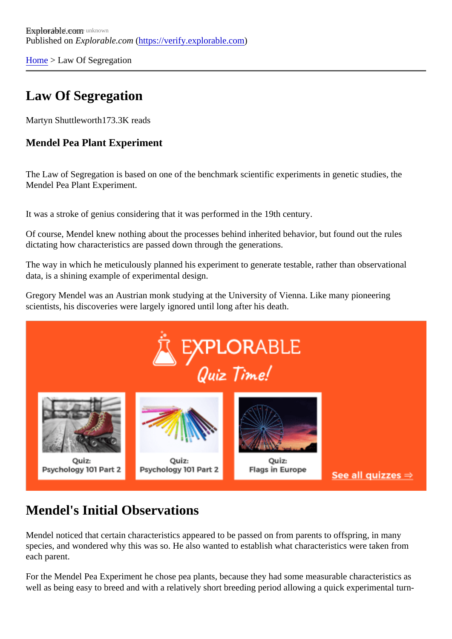[Home](https://verify.explorable.com/) > Law Of Segregation

# Law Of Segregation

Martyn Shuttleworth173.3K reads

Mendel Pea Plant Experiment

The Law of Segregation is based on one of the benchmark scientific experiments in genetic studies, the Mendel Pea Plant Experiment.

It was a stroke of genius considering that it was performed in the 19th century.

Of course, Mendel knew nothing about the processes behind inherited behavior, but found out the rules dictating how characteristics are passed down through the generations.

The way in which he meticulously planned his experiment to generate testable, rather than observational data, is a shining example of experimental design.

Gregory Mendel was an Austrian monk studying at the University of Vienna. Like many pioneering scientists, his discoveries were largely ignored until long after his death.

# Mendel's Initial Observations

Mendel noticed that certain characteristics appeared to be passed on from parents to offspring, in many species, and wondered why this was so. He also wanted to establish what characteristics were taken from each parent.

For the Mendel Pea Experiment he chose pea plants, because they had some measurable characteristics well as being easy to breed and with a relatively short breeding period allowing a quick experimental turn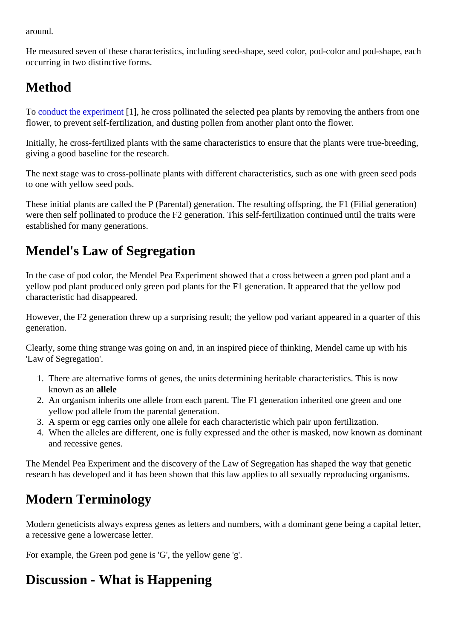around.

He measured seven of these characteristics, including seed-shape, seed color, pod-color and pod-shape, occurring in two distinctive forms.

### Method

To [conduct the experime](https://verify.explorable.com/conducting-an-experiment)nt], he cross pollinated the selected pea plants by removing the anthers from one flower, to prevent self-fertilization, and dusting pollen from another plant onto the flower.

Initially, he cross-fertilized plants with the same characteristics to ensure that the plants were true-breedin giving a good baseline for the research.

The next stage was to cross-pollinate plants with different characteristics, such as one with green seed po to one with yellow seed pods.

These initial plants are called the P (Parental) generation. The resulting offspring, the F1 (Filial generation) were then self pollinated to produce the F2 generation. This self-fertilization continued until the traits were established for many generations.

# Mendel's Law of Segregation

In the case of pod color, the Mendel Pea Experiment showed that a cross between a green pod plant and yellow pod plant produced only green pod plants for the F1 generation. It appeared that the yellow pod characteristic had disappeared.

However, the F2 generation threw up a surprising result; the yellow pod variant appeared in a quarter of th generation.

Clearly, some thing strange was going on and, in an inspired piece of thinking, Mendel came up with his 'Law of Segregation'.

- 1. There are alternative forms of genes, the units determining heritable characteristics. This is now known as anallele
- 2. An organism inherits one allele from each parent. The F1 generation inherited one green and one yellow pod allele from the parental generation.
- 3. A sperm or egg carries only one allele for each characteristic which pair upon fertilization.
- 4. When the alleles are different, one is fully expressed and the other is masked, now known as domina and recessive genes.

The Mendel Pea Experiment and the discovery of the Law of Segregation has shaped the way that genetic research has developed and it has been shown that this law applies to all sexually reproducing organisms.

# Modern Terminology

Modern geneticists always express genes as letters and numbers, with a dominant gene being a capital le a recessive gene a lowercase letter.

For example, the Green pod gene is 'G', the yellow gene 'g'.

# Discussion - What is Happening